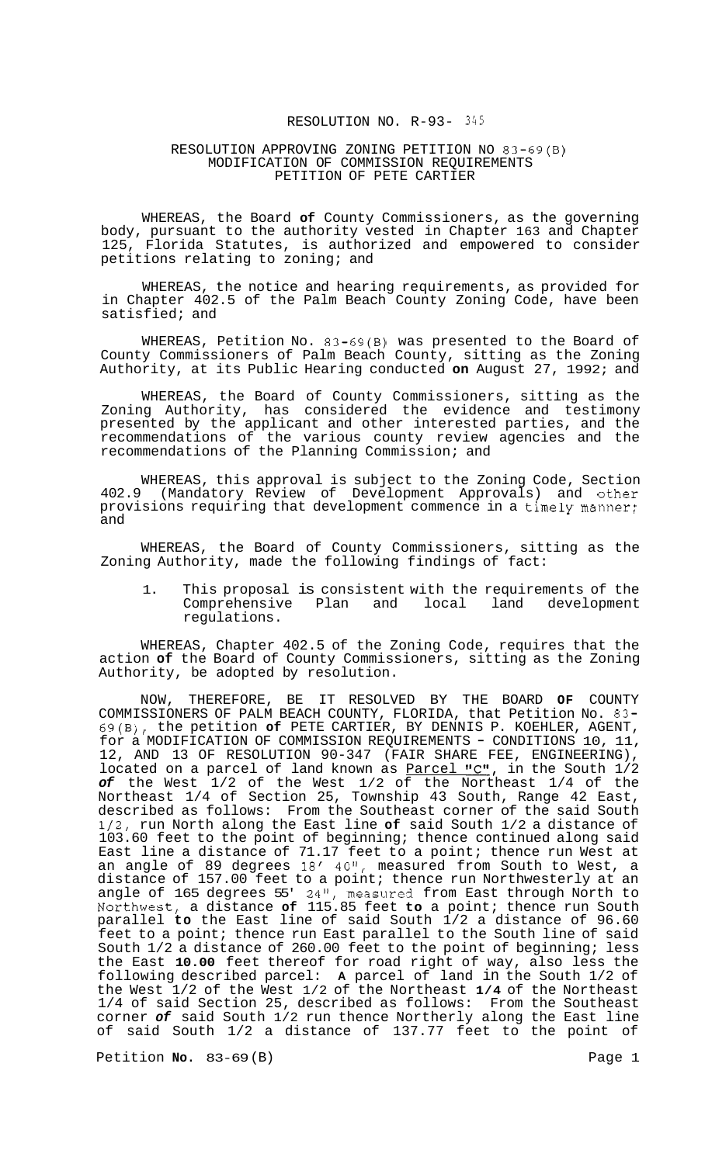#### RESOLUTION NO. R-93- *345*

#### RESOLUTION APPROVING ZONING PETITION NO 83-69(B) MODIFICATION OF COMMISSION REQUIREMENTS PETITION OF PETE CARTIER

WHEREAS, the Board **of** County Commissioners, as the governing body, pursuant to the authority vested in Chapter 163 and Chapter 125, Florida Statutes, is authorized and empowered to consider petitions relating to zoning; and

WHEREAS, the notice and hearing requirements, as provided for in Chapter 402.5 of the Palm Beach County Zoning Code, have been satisfied; and

WHEREAS, Petition No. 83-69(B) was presented to the Board of County Commissioners of Palm Beach County, sitting as the Zoning Authority, at its Public Hearing conducted **on** August 27, 1992; and

WHEREAS, the Board of County Commissioners, sitting as the Zoning Authority, has considered the evidence and testimony presented by the applicant and other interested parties, and the recommendations of the various county review agencies and the recommendations of the Planning Commission; and

WHEREAS, this approval is subject to the Zoning Code, Section 402.9 (Mandatory Review of Development Approvals) and other provisions requiring that development commence in a timely manner; and

WHEREAS, the Board of County Commissioners, sitting as the Zoning Authority, made the following findings of fact:

1. This proposal is consistent with the requirements of the Comprehensive Plan and local land development regulations.

WHEREAS, Chapter 402.5 of the Zoning Code, requires that the action **of** the Board of County Commissioners, sitting as the Zoning Authority, be adopted by resolution.

NOW, THEREFORE, BE IT RESOLVED BY THE BOARD **OF** COUNTY COMMISSIONERS OF PALM BEACH COUNTY, FLORIDA, that Petition No. 83- 69(B), the petition **of** PETE CARTIER, BY DENNIS P. KOEHLER, AGENT, for a MODIFICATION OF COMMISSION REQUIREMENTS - CONDITIONS 10, 11, 12, AND 13 OF RESOLUTION 90-347 (FAIR SHARE FEE, ENGINEERING), located on a parcel of land known as Parcel "C", in the South 1/2 *of* the West 1/2 of the West 1/2 of the Northeast 1/4 of the Northeast 1/4 of Section 25, Township 43 South, Range 42 East, described as follows: From the Southeast corner of the said South 1/2, run North along the East line **of** said South 1/2 a distance of 103.60 feet to the point of beginning; thence continued along said East line a distance of 71.17 feet to a point; thence run West at an angle of 89 degrees 18' 40", measured from South to West, a distance of 157.00 feet to a point; thence run Northwesterly at an angle of 165 degrees 55' 24", measured from East through North to Northwest, a distance **of** 115.85 feet **to** a point; thence run South parallel **to** the East line of said South 1/2 a distance of 96.60 feet to a point; thence run East parallel to the South line of said South 1/2 a distance of 260.00 feet to the point of beginning; less the East **10.00** feet thereof for road right of way, also less the following described parcel: **A** parcel of land in the South 1/2 of the West 1/2 of the West 1/2 of the Northeast **1/4** of the Northeast 1/4 of said Section 25, described as follows: From the Southeast corner *of* said South 1/2 run thence Northerly along the East line of said South 1/2 a distance of 137.77 feet to the point of

Petition **No.** 83-69 (B) **Petition No.** 83-69 (B)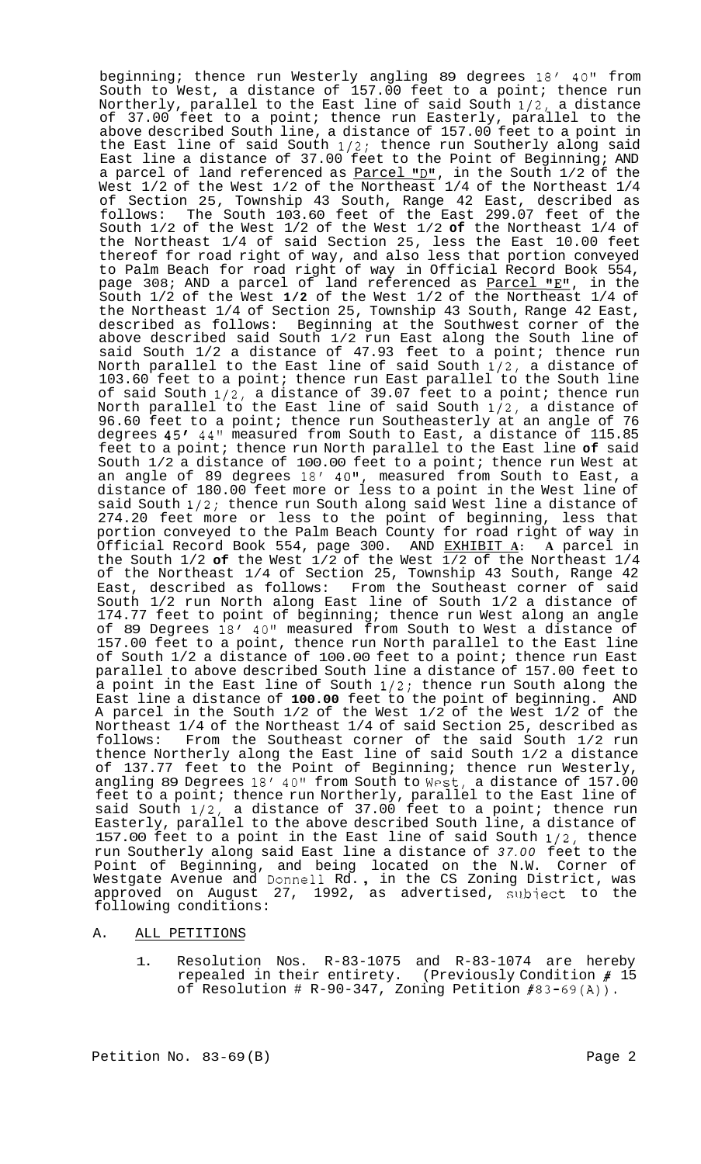beginning; thence run Westerly angling 89 degrees 18' 40" from South to West, a distance of 157.00 feet to a point; thence run Northerly, parallel to the East line of said South 1/2, a distance of 37.00 feet to a point; thence run Easterly, parallel to the above described South line, a distance of 157.00 feet to a point in the East line of said South 1/2; thence run Southerly along said East line a distance of 37.00 feet to the Point of Beginning; AND a parcel of land referenced as <u>Parcel "D"</u>, in the South 1/2 of the West 1/2 of the West 1/2 of the Northeast 1/4 of the Northeast 1/4 of Section 25, Township 43 South, Range 42 East, described as follows: The South 103.60 feet of the East 299.07 feet of the South 1/2 of the West 1/2 of the West 1/2 **of** the Northeast 1/4 of the Northeast 1/4 of said Section 25, less the East 10.00 feet thereof for road right of way, and also less that portion conveyed to Palm Beach for road right of way in Official Record Book 554, page 308; AND a parcel of land referenced as  $Parcel$  "E", in the South 1/2 of the West **1/2** of the West 1/2 of the Northeast 1/4 of the Northeast 1/4 of Section 25, Township 43 South, Range 42 East, described as follows: Beginning at the Southwest corner of the above described said South 1/2 run East along the South line of said South 1/2 a distance of 47.93 feet to a point; thence run North parallel to the East line of said South 1/2, a distance of 103.60 feet to a point; thence run East parallel to the South line of said South 1/2, a distance of 39.07 feet to a point; thence run North parallel to the East line of said South 1/2, a distance of 96.60 feet to a point; thence run Southeasterly at an angle of 76 degrees 45/ 44" measured from South to East, a distance of 115.85 feet to a point; thence run North parallel to the East line **of** said South  $1/2$  a distance of 100.00 feet to a point; thence run West at an angle of 89 degrees 18' 40", measured from South to East, a distance of 180.00 feet more or less to a point in the West line of said South 1/2; thence run South along said West line a distance of 274.20 feet more or less to the point of beginning, less that portion conveyed to the Palm Beach County for road right of way in Official Record Book 554, page 300. AND EXHIBIT **A: A** parcel in the South 1/2 **of** the West 1/2 of the West 1/2 of the Northeast 1/4 of the Northeast 1/4 of Section 25, Township 43 South, Range 42 East, described as follows: From the Southeast corner of said South 1/2 run North along East line of South 1/2 a distance of 174.77 feet to point of beginning; thence run West along an angle of 89 Degrees 18/ 40" measured from South to West a distance of 157.00 feet to a point, thence run North parallel to the East line of South 1/2 a distance of 100.00 feet to a point; thence run East parallel to above described South line a distance of 157.00 feet to a point in the East line of South 1/2; thence run South along the East line a distance of **100.00** feet to the point of beginning. AND A parcel in the South 1/2 of the West 1/2 of the West 1/2 of the Northeast 1/4 of the Northeast 1/4 of said Section 25, described as follows: From the Southeast corner of the said South 1/2 run thence Northerly along the East line of said South 1/2 a distance of 137.77 feet to the Point of Beginning; thence run Westerly, angling 89 Degrees 18' 40" from South to West, a distance of 157.00 feet to a point; thence run Northerly, parallel to the East line of said South 1/2, a distance of 37.00 feet to a point; thence run Easterly, parallel to the above described South line, a distance of 157.00 feet to a point in the East line of said South 1/2, thence run Southerly along said East line a distance of *37.00* feet to the Point of Beginning, and being located on the N.W. Corner of Westgate Avenue and Donne11 Rd. , in the CS Zoning District, was approved on August 27, 1992, as advertised, subject to the following conditions:

#### A. ALL PETITIONS

1. Resolution Nos. R-83-1075 and R-83-1074 are hereby repealed in their entirety. (Previously Condition # 15 of Resolution # R-90-347, Zoning Petition #83-69(A)).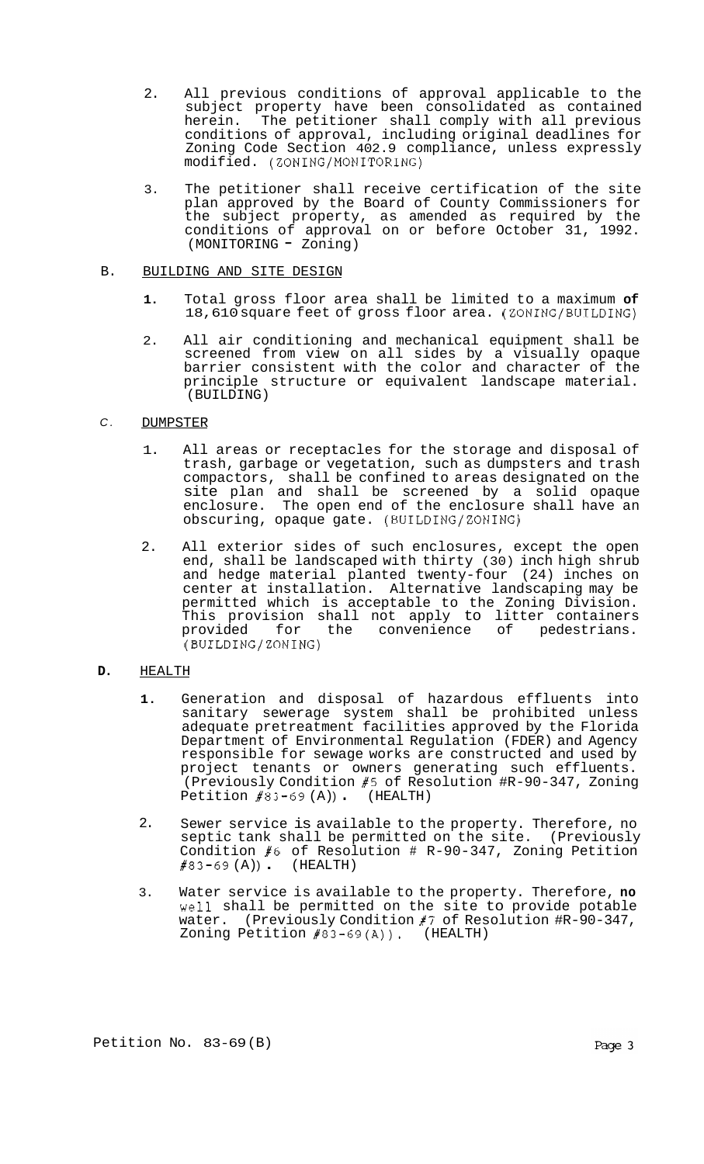- 2. All previous conditions of approval applicable to the subject property have been consolidated as contained herein. The petitioner shall comply with all previous conditions of approval, including original deadlines for Zoning Code Section 402.9 compliance, unless expressly modified. (ZONING/MONITORING)
- 3. The petitioner shall receive certification of the site plan approved by the Board of County Commissioners for<br>the subject property, as amended as required by the the subject property, as amended as required by the conditions of approval on or before October 31, 1992. (MONITORING - Zoning)

## B. BUILDING AND SITE DESIGN

- **1.** Total gross floor area shall be limited to a maximum **of**  18,610 square feet of gross floor area. (ZONING/BUILDING)
- 2. All air conditioning and mechanical equipment shall be screened from view on all sides by a visually opaque barrier consistent with the color and character of the principle structure or equivalent landscape material. (BUILDING)

# *C.* DUMPSTER

- 1. All areas or receptacles for the storage and disposal of trash, garbage or vegetation, such as dumpsters and trash compactors, shall be confined to areas designated on the site plan and shall be screened by a solid opaque enclosure. The open end of the enclosure shall have an obscuring, opaque gate. (BUILDING/ZONING)
- 2. All exterior sides of such enclosures, except the open end, shall be landscaped with thirty (30) inch high shrub and hedge material planted twenty-four (24) inches on center at installation. Alternative landscaping may be permitted which is acceptable to the Zoning Division. This provision shall not apply to litter containers provided for the convenience of pedestrians. (BUILDING/ZONING)
- **D.** HEALTH
	- **1.**  Generation and disposal of hazardous effluents into sanitary sewerage system shall be prohibited unless adequate pretreatment facilities approved by the Florida Department of Environmental Regulation (FDER) and Agency responsible for sewage works are constructed and used by project tenants or owners generating such effluents. (Previously Condition #5 of Resolution #R-90-347, Zoning Petition  $\sharp 83-69$  (A)) (HEALTH)
	- 2. Sewer service is available to the property. Therefore, no septic tank shall be permitted on the site. (Previously Condition #6 of Resolution # R-90-347, Zoning Petition<br>#83-69(A)). (HEALTH)
	- 3. Water service is available to the property. Therefore, **no**  well shall be permitted on the site to provide potable water. (Previously Condition #7 of Resolution #R-90-347, Zoning Petition #83-69(A)). (HEALTH)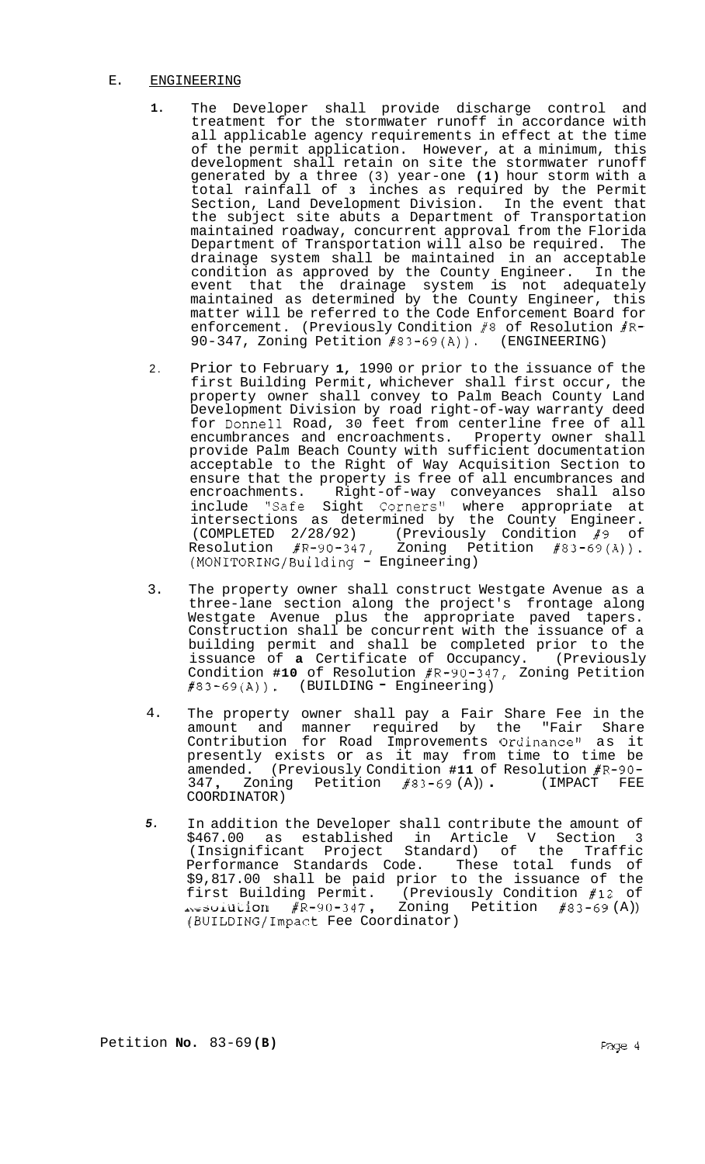# E. ENGINEERING

- **1.**  The Developer shall provide discharge control and treatment for the stormwater runoff in accordance with all applicable agency requirements in effect at the time of the permit application. However, at a minimum, this development shall retain on site the stormwater runoff generated by a three (3) year-one **(1)** hour storm with a total rainfall of **3** inches as required by the Permit Section, Land Development Division. In the event that the subject site abuts a Department of Transportation maintained roadway, concurrent approval from the Florida Department of Transportation will also be required. The drainage system shall be maintained in an acceptable condition as approved by the County Engineer. In the event that the drainage system is not adequately maintained as determined by the County Engineer, this matter will be referred to the Code Enforcement Board for enforcement. (Previously Condition #8 of Resolution #R-<br>90-347, Zoning Petition #83-69(A)). (ENGINEERING) 90-347, Zoning Petition  $#83-69(A)$ .
- 2. Prior to February **1,** 1990 or prior to the issuance of the first Building Permit, whichever shall first occur, the property owner shall convey to Palm Beach County Land Development Division by road right-of-way warranty deed for Donne11 Road, 30 feet from centerline free of all encumbrances and encroachments. Property owner shall provide Palm Beach County with sufficient documentation acceptable to the Right of Way Acquisition Section to ensure that the property is free of all encumbrances and encroachments. Right-of-way conveyances shall also include "Safe Sight Corners" where appropriate at intersections as determined by the County Engineer. (COMPLETED 2/28/92) (Previously Condition #9 of Resolution #R-90-347, Zoning Petition #83-69(A)). Resolution #R-90-347, Zoning Pe<br>(MONITORING/Building - Engineering)
- 3. The property owner shall construct Westgate Avenue as a three-lane section along the project's frontage along Westgate Avenue plus the appropriate paved tapers. Construction shall be concurrent with the issuance of a building permit and shall be completed prior to the issuance of **a** Certificate of Occupancy. (Previously Condition **#10** of Resolution #R-90-347, Zoning Petition  $#83-69(A)$ ). (BUILDING = Engineering)
- 4. The property owner shall pay a Fair Share Fee in the amount and manner required by the "Fair Share Contribution for Road Improvements Ordinance" as it presently exists or as it may from time to time be amended. (Previously Condition **#11** of Resolution #R-90- <sup>347</sup>, Zoning Petition #83-69 (A) ) . (IMPACT FEE COORDINATOR)
- *5.*  In addition the Developer shall contribute the amount of \$467.00 as established in Article V Section 3 (Insignificant Project Standard) of the Traffic Performance Standards Code. These total funds of \$9,817.00 shall be paid prior to the issuance of the first Building Permit. (Previously Condition #12 of<br>Acsolution #R-90-347, Zoning Petition #83-69 (A)) (BUILDING/Impact Fee Coordinator)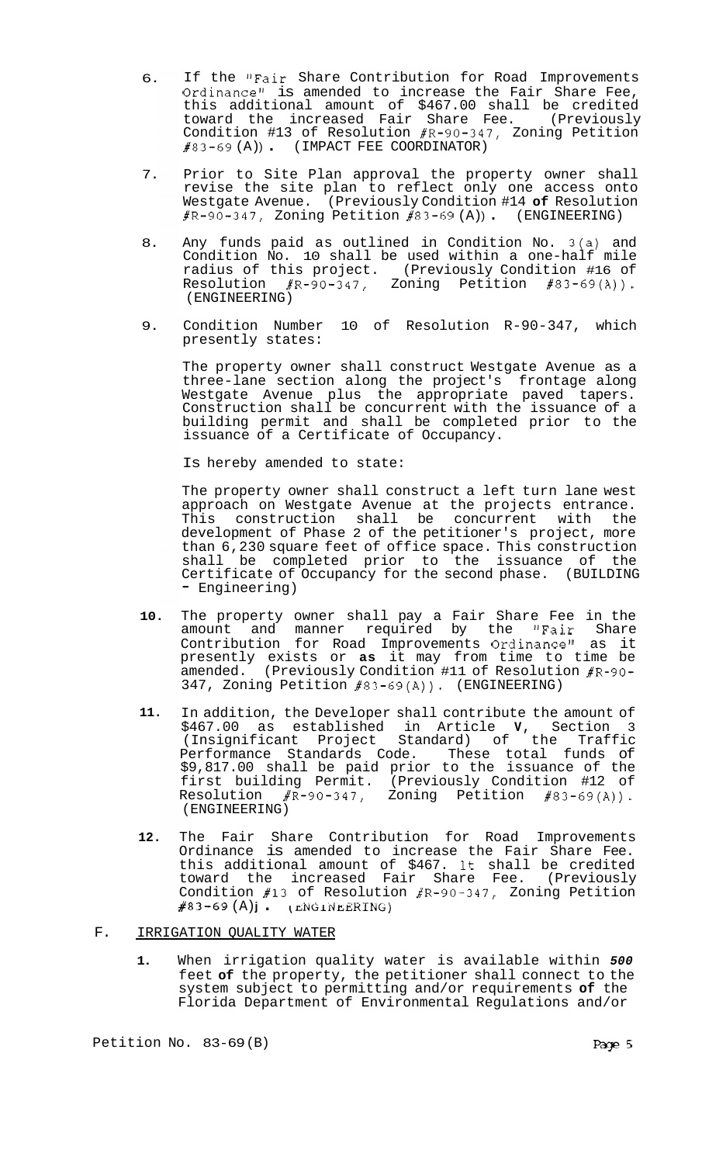- 6. If the "Fair Share Contribution for Road Improvements Ordinance" is amended to increase the Fair Share Fee, this additional amount of \$467.00 shall be credited toward the increased Fair Share Fee. (Previously Condition #13 of Resolution #R-90-347, Zoning Petition  $\#83-69 (A))$ . (IMPACT FEE COORDINATOR)
- 7. Prior to Site Plan approval the property owner shall revise the site plan to reflect only one access onto Westgate Avenue. (Previously Condition #14 **of** Resolution  $#R-90-347$ , Zoning Petition  $#83-69$  (A)) (ENGINEERING)
- 8. Any funds paid as outlined in Condition No. 3(a) and Condition No. 10 shall be used within a one-half mile radius of this project. (Previously Condition #16 of Resolution #R-90-347, Zoning Petition #83-69(A)). (ENGINEERING)
- 9. Condition Number 10 of Resolution R-90-347, which presently states:

The property owner shall construct Westgate Avenue as a three-lane section along the project's frontage along Westgate Avenue plus the appropriate paved tapers. Construction shall be concurrent with the issuance of a building permit and shall be completed prior to the issuance of a Certificate of Occupancy.

Is hereby amended to state:

The property owner shall construct a left turn lane west approach on Westgate Avenue at the projects entrance. This construction shall be concurrent with the development of Phase 2 of the petitioner's project, more than 6,230 square feet of office space. This construction shall be completed prior to the issuance of the Certificate of Occupancy for the second phase. (BUILDING - Engineering)

- **10.**  The property owner shall pay a Fair Share Fee in the amount and manner required by the "Fair Share Contribution for Road Improvements Ordinance1! as it presently exists or **as** it may from time to time be amended. (Previously Condition #11 of Resolution #R-90- 347, Zoning Petition #83-69(A)). (ENGINEERING)
- **11.**  In addition, the Developer shall contribute the amount of \$467.00 as established in Article **V,** Section 3 (Insignificant Project Standard) of the Traffic Performance Standards Code. These total funds of \$9,817.00 shall be paid prior to the issuance of the first building Permit. (Previously Condition #12 of Resolution #R-90-347, Zoning Petition #83-69(A)). (ENGINEERING)
- **12.**  The Fair Share Contribution for Road Improvements Ordinance is amended to increase the Fair Share Fee. this additional amount of \$467. It shall be credited toward the increased Fair Share Fee. (Previously Condition  $#13$  of Resolution  $#R-90-347$ , Zoning Petition *#83-69* (A) **j** . (mGLflLERING)

#### F. IRRIGATION QUALITY WATER

**1.** When irrigation quality water is available within *500*  feet **of** the property, the petitioner shall connect to the system subject to permitting and/or requirements **of** the Florida Department of Environmental Regulations and/or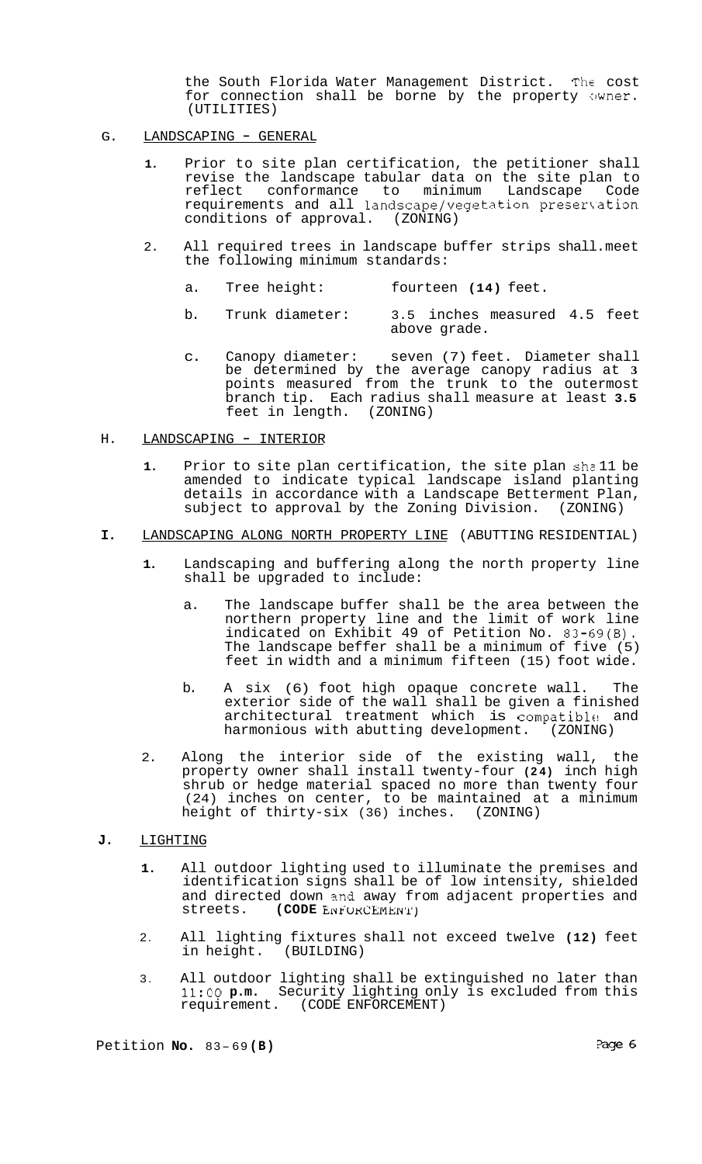the South Florida Water Management District. The cost for connection shall be borne by the property owner. (UTILITIES)

- G. LANDSCAPING GENERAL
	- **1.** Prior to site plan certification, the petitioner shall revise the landscape tabular data on the site plan to reflect conformance to minimum Landscape Code requirements and all landscape/vegetation preservation conditions of approval. (ZONING)
	- 2. All required trees in landscape buffer strips shall. meet the following minimum standards:
		- a. Tree height: fourteen **(14)** feet.
		- b. Trunk diameter: 3.5 inches measured 4.5 feet above grade.
		- c. Canopy diameter: seven (7) feet. Diameter shall be determined by the average canopy radius at **3**  points measured from the trunk to the outermost branch tip. Each radius shall measure at least **3.5**  feet in length. (ZONING)
- H. LANDSCAPING INTERIOR
	- **1.** Prior to site plan certification, the site plan shz 11 be amended to indicate typical landscape island planting details in accordance with a Landscape Betterment Plan, subject to approval by the Zoning Division. (ZONING)
- **I.** LANDSCAPING ALONG NORTH PROPERTY LINE (ABUTTING RESIDENTIAL)
	- **1.** Landscaping and buffering along the north property line shall be upgraded to include:
		- a. The landscape buffer shall be the area between the northern property line and the limit of work line indicated on Exhibit 49 of Petition No. 83-69(B). The landscape beffer shall be a minimum of five (5) feet in width and a minimum fifteen (15) foot wide.
		- b. A six (6) foot high opaque concrete wall. The exterior side of the wall shall be given a finished architectural treatment which is compatible and<br>harmonious with abutting development. (ZONING) harmonious with abutting development.
	- 2. Along the interior side of the existing wall, the property owner shall install twenty-four **(24)** inch high shrub or hedge material spaced no more than twenty four (24) inches on center, to be maintained at a minimum height of thirty-six (36) inches. (ZONING)
- **J.** LIGHTING
	- **1.** All outdoor lighting used to illuminate the premises and identification signs shall be of low intensity, shielded and directed down and away from adjacent properties and streets. (CODE ENFURCEMENT)  $(CODE$  ENFORCEMENT)
	- 2. All lighting fixtures shall not exceed twelve **(12)** feet in height. (BUILDING)
	- 3. All outdoor lighting shall be extinguished no later than **11:OO p.m.** Security lighting only is excluded from this requirement. (CODE ENFORCEMENT)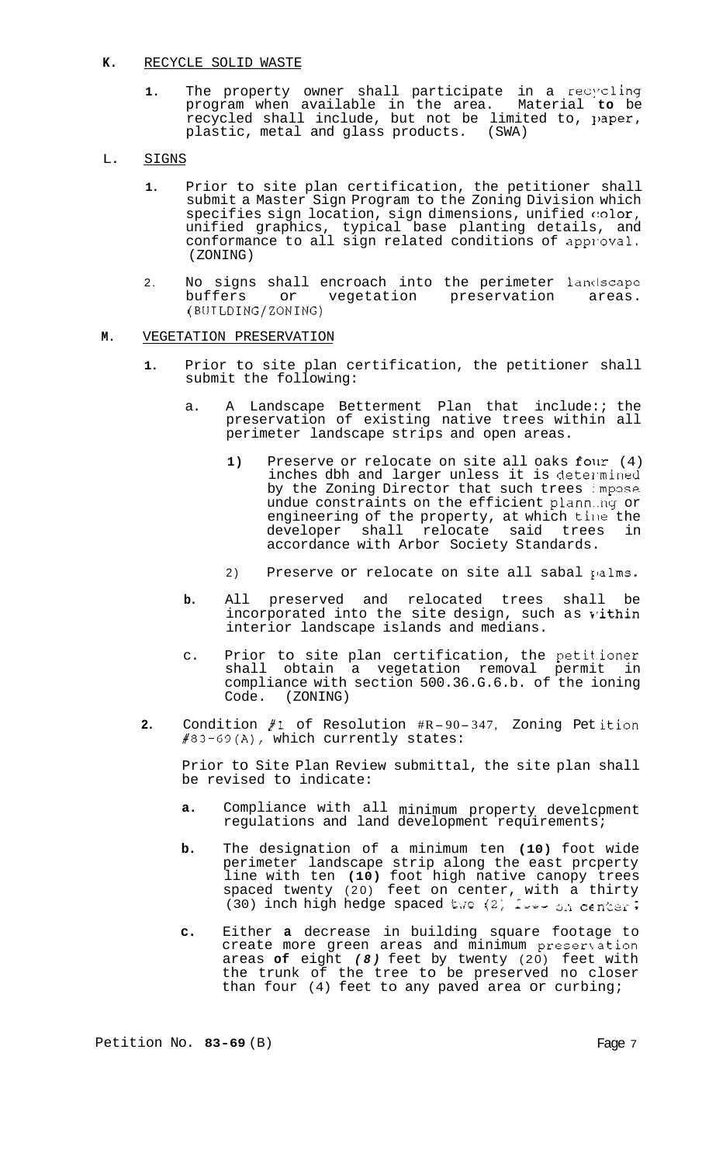### **K.** RECYCLE SOLID WASTE

- **1.** The property owner shall participate in a recycling program when available in the area. Material **to** be recycled shall include, but not be limited to, paper, plastic, metal and glass products. (SWA)
- L. SIGNS
	- **1.** Prior to site plan certification, the petitioner shall submit a Master Sign Program to the Zoning Division which specifies sign location, sign dimensions, unified color, unified graphics, typical base planting details, and conformance to all sign related conditions of approval. (ZONING)
	- 2. No signs shall encroach into the perimeter landscape<br>buffers or vegetation preservation areas. vegetation preservation (BUILDING/ZONING)

# **M.** VEGETATION PRESERVATION

- **1.** Prior to site plan certification, the petitioner shall submit the following:
	- a. A Landscape Betterment Plan that include:; the preservation of existing native trees within all perimeter landscape strips and open areas.
		- 1) Preserve or relocate on site all oaks four (4) inches dbh and larger unless it is determined by the Zoning Director that such trees impose undue constraints on the efficient plann..ng or engineering of the property, at which time the<br>developer shall relocate said trees in developer shall relocate said trees accordance with Arbor Society Standards.
		- 2) Preserve or relocate on site all sabal palms.
	- **b.** All preserved and relocated trees shall be incorporated into the site design, such as vithin interior landscape islands and medians.
	- c. Prior to site plan certification, the petitioner shall obtain a vegetation removal permit in compliance with section 500.36.G.6.b. of the ioning Code. (ZONING)
- **2.** Condition **#1** of Resolution #R- 90- 347, Zoning Pet ition #83-69(A), which currently states:

Prior to Site Plan Review submittal, the site plan shall be revised to indicate:

- **a.** Compliance with all minimum property develcpment regulations and land development requirements;
- **b.** The designation of a minimum ten **(10)** foot wide perimeter landscape strip along the east prcperty line with ten **(10)** foot high native canopy trees spaced twenty (20) feet on center, with a thirty<br>(30) inch high hedge spaced two (2) *1*-2- 3A center;
- **c.** Either **a** decrease in building square footage to create more green areas and minimum presertation areas **of** eight *(8)* feet by twenty (20) feet with the trunk of the tree to be preserved no closer than four (4) feet to any paved area or curbing;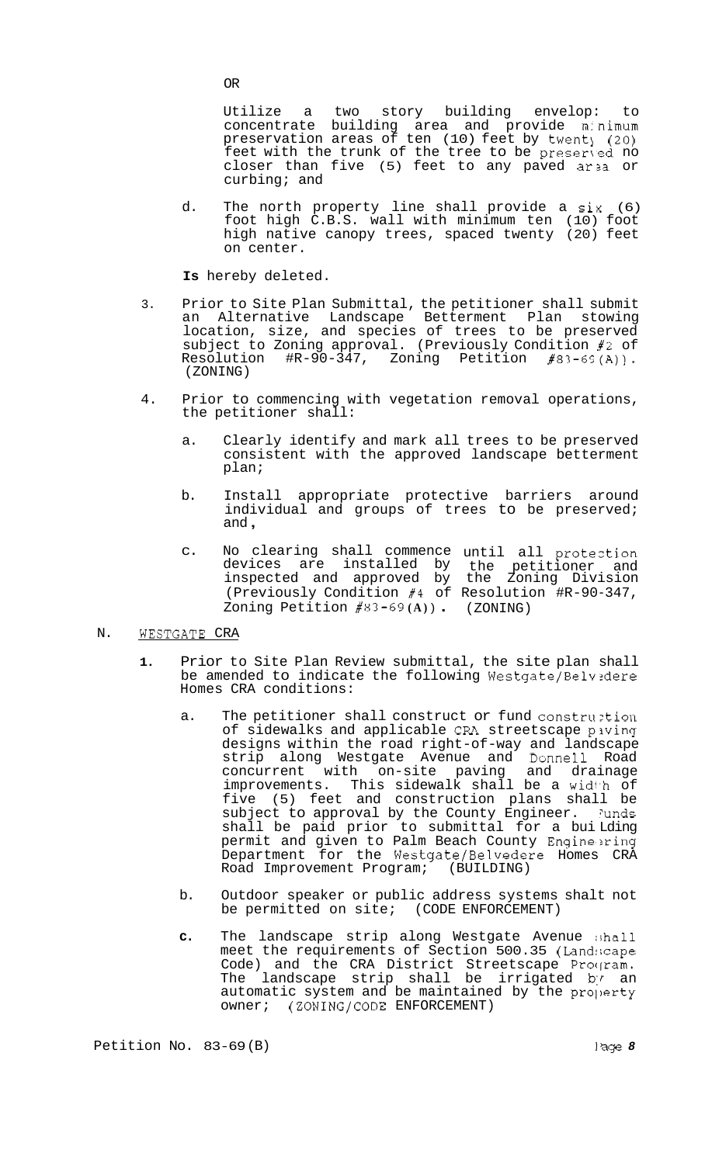Utilize a two story building envelop: to concentrate building area and provide m:nimum preservation areas of ten (10) feet by twent<sub>)</sub> (20) feet with the trunk of the tree to be preserved no closer than five (5) feet to any paved area or curbing; and

d. The north property line shall provide a  $six$  (6) foot high C.B.S. wall with minimum ten (10) foot high native canopy trees, spaced twenty (20) feet on center.

**Is** hereby deleted.

- 3. Prior to Site Plan Submittal, the petitioner shall submit an Alternative Landscape Betterment Plan stowing location, size, and species of trees to be preserved subject to Zoning approval. (Previously Condition #2 of Resolution #R-90-347, Zoning Petition #83-69(A)). Petition  $#83-69(A)$ ). (ZONING)
- 4. Prior to commencing with vegetation removal operations, the petitioner shall:
	- a. Clearly identify and mark all trees to be preserved consistent with the approved landscape betterment plan;
	- b. Install appropriate protective barriers around individual and groups of trees to be preserved; and ,
	- c. No clearing shall commence until all proteztion devices are installed by the petitioner and inspected and approved by the Zoning Division (Previously Condition #4 of Resolution #R-90-347, Zoning Petition #83-69 **(A)** ) . (ZONING)

# N. WESTGATE CRA

- **1.** Prior to Site Plan Review submittal, the site plan shall be amended to indicate the following Westgate/Belvedere Homes CRA conditions:
	- a. The petitioner shall construct or fund construction of sidewalks and applicable CRA streetscape piving designs within the road right-of-way and landscape strip along Westgate Avenue and Donne11 Road concurrent with on-site paving and drainage improvements. This sidewalk shall be a width of five (5) feet and construction plans shall be subject to approval by the County Engineer. Junds shall be paid prior to submittal for a bui Lding permit and given to Palm Beach County Engine'xing Department for the Westgate/Belvedere Homes CRA<br>Road Improvement Program; (BUILDING) Road Improvement Program;
	- b. Outdoor speaker or public address systems shalt not be permitted on site; (CODE ENFORCEMENT)
	- **c.** The landscape strip along Westgate Avenue :;hall meet the requirements of Section 500.35 (Land:;cape Code) and the CRA District Streetscape Program. The landscape strip shall be irrigated by an automatic system and be maintained by the property owner; (ZONING/CODE ENFORCEMENT)

OR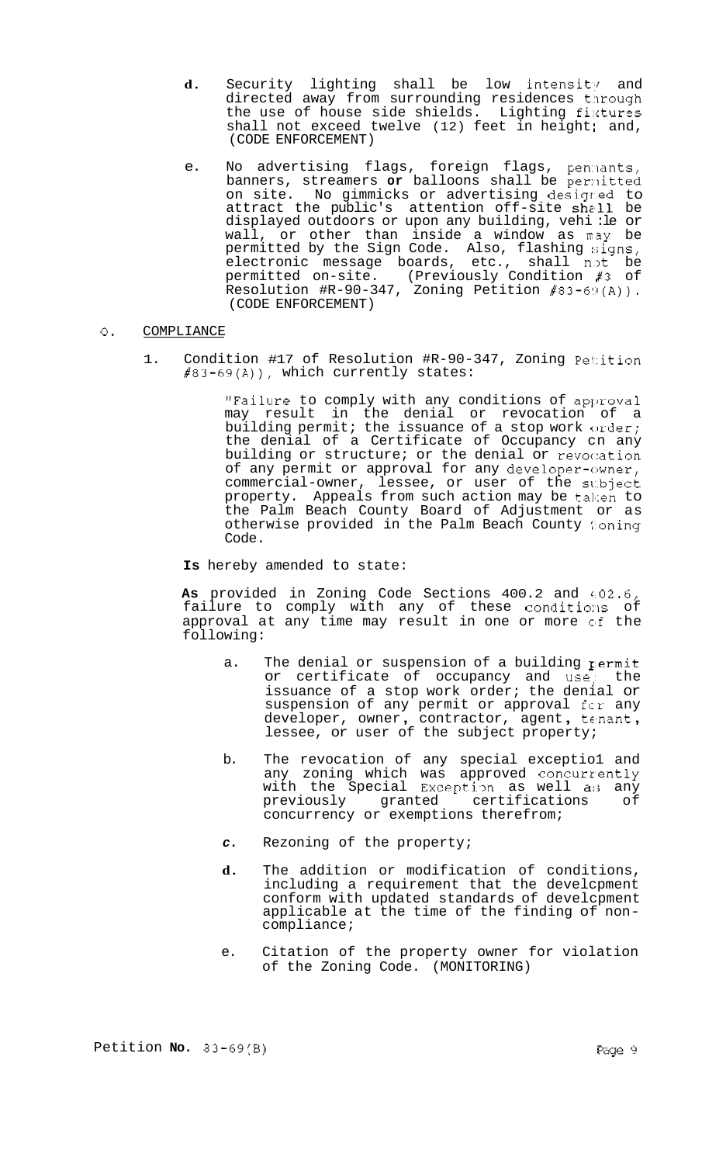- d. Security lighting shall be low intensity and directed away from surrounding residences t'lrough the use of house side shields. Lighting fixtures shall not exceed twelve  $(12)$  feet in height; and, (CODE ENFORCEMENT)
- e. No advertising flags, foreign flags, penmants, banners, streamers or balloons shall be permitted on site. No gimmicks or advertising desigr.ed to attract the public's attention off-site shall be displayed outdoors or upon any building, vehi :le or wall, or other than inside a window as ray be permitted by the Sign Code.  $\,$  Also, flashing  $\,$ signs,  $\,$ electronic message boards, etc., shall n,)t be permitted on-site. (Previously Condition #3 of Resolution #R-90-347, Zoning Petition #83-69(A)). (CODE ENFORCEMENT)
- *0.* COMPLIANCE
	- 1. Condition #17 of Resolution #R-90-347, Zoning Petition #83-69(A)), which currently states:

"Failure to comply with any conditions of approval may result in the denial or revocation of a building permit; the issuance of a stop work order; the denial of a Certificate of Occupancy cn any building or structure; or the denial or revocation of any permit or approval for any developer-owner, commercial-owner, lessee, or user of the sl.bject property. Appeals from such action may be taken to the Palm Beach County Board of Adjustment or as otherwise provided in the Palm Beach County foning Code.

**Is** hereby amended to state:

As provided in Zoning Code Sections 400.2 and 402.6, failure to comply with any of these conditions of approval at any time may result in one or more of the following:

- a. The denial or suspension of a building  $r$ ermit or certificate of occupancy and use,' the issuance of a stop work order; the denial or suspension of any permit or approval fcr any<br>developer, owner, contractor, agent, tenant,<br>lessee, or user of the subject property;
- b. The revocation of any special exceptio1 and any zoning which was approved concurrently with the Special Exception as well as any<br>previously granted certifications of previously granted certifications of concurrency or exemptions therefrom;
- *c.* Rezoning of the property;
- **d.** The addition or modification of conditions, including a requirement that the develcpment conform with updated standards of develcpment applicable at the time of the finding of non- compliance;
- e. Citation of the property owner for violation of the Zoning Code. (MONITORING)